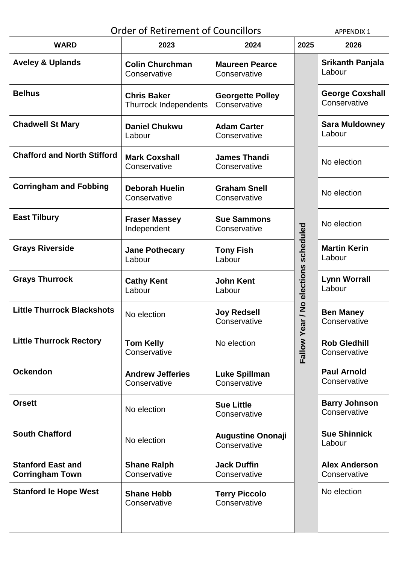| <b>Order of Retirement of Councillors</b>          | <b>APPENDIX 1</b>                                  |                                          |                                          |                                        |
|----------------------------------------------------|----------------------------------------------------|------------------------------------------|------------------------------------------|----------------------------------------|
| <b>WARD</b>                                        | 2023                                               | 2024                                     | 2025                                     | 2026                                   |
| <b>Aveley &amp; Uplands</b>                        | <b>Colin Churchman</b><br>Conservative             | <b>Maureen Pearce</b><br>Conservative    |                                          | <b>Srikanth Panjala</b><br>Labour      |
| <b>Belhus</b>                                      | <b>Chris Baker</b><br><b>Thurrock Independents</b> | <b>Georgette Polley</b><br>Conservative  | ar / No elections scheduled<br>Fallow Ye | <b>George Coxshall</b><br>Conservative |
| <b>Chadwell St Mary</b>                            | <b>Daniel Chukwu</b><br>Labour                     | <b>Adam Carter</b><br>Conservative       |                                          | <b>Sara Muldowney</b><br>Labour        |
| <b>Chafford and North Stifford</b>                 | <b>Mark Coxshall</b><br>Conservative               | <b>James Thandi</b><br>Conservative      |                                          | No election                            |
| <b>Corringham and Fobbing</b>                      | <b>Deborah Huelin</b><br>Conservative              | <b>Graham Snell</b><br>Conservative      |                                          | No election                            |
| <b>East Tilbury</b>                                | <b>Fraser Massey</b><br>Independent                | <b>Sue Sammons</b><br>Conservative       |                                          | No election                            |
| <b>Grays Riverside</b>                             | <b>Jane Pothecary</b><br>Labour                    | <b>Tony Fish</b><br>Labour               |                                          | <b>Martin Kerin</b><br>Labour          |
| <b>Grays Thurrock</b>                              | <b>Cathy Kent</b><br>Labour                        | <b>John Kent</b><br>Labour               |                                          | <b>Lynn Worrall</b><br>Labour          |
| <b>Little Thurrock Blackshots</b>                  | No election                                        | <b>Joy Redsell</b><br>Conservative       |                                          | <b>Ben Maney</b><br>Conservative       |
| <b>Little Thurrock Rectory</b>                     | <b>Tom Kelly</b><br>Conservative                   | No election                              |                                          | <b>Rob Gledhill</b><br>Conservative    |
| <b>Ockendon</b>                                    | <b>Andrew Jefferies</b><br>Conservative            | <b>Luke Spillman</b><br>Conservative     |                                          | <b>Paul Arnold</b><br>Conservative     |
| <b>Orsett</b>                                      | No election                                        | <b>Sue Little</b><br>Conservative        |                                          | <b>Barry Johnson</b><br>Conservative   |
| <b>South Chafford</b>                              | No election                                        | <b>Augustine Ononaji</b><br>Conservative |                                          | <b>Sue Shinnick</b><br>Labour          |
| <b>Stanford East and</b><br><b>Corringham Town</b> | <b>Shane Ralph</b><br>Conservative                 | <b>Jack Duffin</b><br>Conservative       |                                          | <b>Alex Anderson</b><br>Conservative   |
| <b>Stanford le Hope West</b>                       | <b>Shane Hebb</b><br>Conservative                  | <b>Terry Piccolo</b><br>Conservative     |                                          | No election                            |